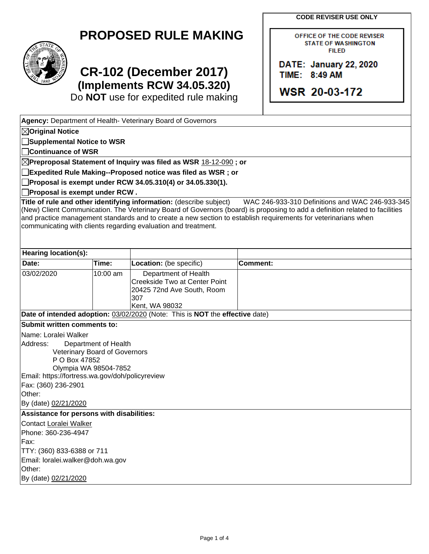**CODE REVISER USE ONLY**

OFFICE OF THE CODE REVISER **STATE OF WASHINGTON FILED** 

DATE: January 22, 2020

**WSR 20-03-172** 

TIME: 8:49 AM

| <b>PROPOSED RULE MAKING</b> |  |  |
|-----------------------------|--|--|
|-----------------------------|--|--|



## **CR-102 (December 2017) (Implements RCW 34.05.320)**

Do **NOT** use for expedited rule making

| Agency: Department of Health- Veterinary Board of Governors                                                                                                                                                             |                      |                                                                                                                                       |                 |                                                                                                                                                                                                                                                                                                   |  |  |
|-------------------------------------------------------------------------------------------------------------------------------------------------------------------------------------------------------------------------|----------------------|---------------------------------------------------------------------------------------------------------------------------------------|-----------------|---------------------------------------------------------------------------------------------------------------------------------------------------------------------------------------------------------------------------------------------------------------------------------------------------|--|--|
| $\boxtimes$ Original Notice                                                                                                                                                                                             |                      |                                                                                                                                       |                 |                                                                                                                                                                                                                                                                                                   |  |  |
| Supplemental Notice to WSR                                                                                                                                                                                              |                      |                                                                                                                                       |                 |                                                                                                                                                                                                                                                                                                   |  |  |
| Continuance of WSR                                                                                                                                                                                                      |                      |                                                                                                                                       |                 |                                                                                                                                                                                                                                                                                                   |  |  |
|                                                                                                                                                                                                                         |                      | $\boxtimes$ Preproposal Statement of Inquiry was filed as WSR <u>18-12-090</u> ; or                                                   |                 |                                                                                                                                                                                                                                                                                                   |  |  |
|                                                                                                                                                                                                                         |                      | Expedited Rule Making--Proposed notice was filed as WSR ; or                                                                          |                 |                                                                                                                                                                                                                                                                                                   |  |  |
|                                                                                                                                                                                                                         |                      | Proposal is exempt under RCW 34.05.310(4) or 34.05.330(1).                                                                            |                 |                                                                                                                                                                                                                                                                                                   |  |  |
| Proposal is exempt under RCW.                                                                                                                                                                                           |                      |                                                                                                                                       |                 |                                                                                                                                                                                                                                                                                                   |  |  |
|                                                                                                                                                                                                                         |                      | Title of rule and other identifying information: (describe subject)<br>communicating with clients regarding evaluation and treatment. |                 | WAC 246-933-310 Definitions and WAC 246-933-345<br>(New) Client Communication. The Veterinary Board of Governors (board) is proposing to add a definition related to facilities<br>and practice management standards and to create a new section to establish requirements for veterinarians when |  |  |
| <b>Hearing location(s):</b>                                                                                                                                                                                             |                      |                                                                                                                                       |                 |                                                                                                                                                                                                                                                                                                   |  |  |
| Date:                                                                                                                                                                                                                   | Time:                | Location: (be specific)                                                                                                               | <b>Comment:</b> |                                                                                                                                                                                                                                                                                                   |  |  |
| 03/02/2020                                                                                                                                                                                                              | 10:00 am             | Department of Health<br>Creekside Two at Center Point<br>20425 72nd Ave South, Room<br>307<br>Kent, WA 98032                          |                 |                                                                                                                                                                                                                                                                                                   |  |  |
|                                                                                                                                                                                                                         |                      | Date of intended adoption: 03/02/2020 (Note: This is NOT the effective date)                                                          |                 |                                                                                                                                                                                                                                                                                                   |  |  |
| Submit written comments to:                                                                                                                                                                                             |                      |                                                                                                                                       |                 |                                                                                                                                                                                                                                                                                                   |  |  |
| Name: Loralei Walker<br>Address:<br>Veterinary Board of Governors<br>P O Box 47852<br>Olympia WA 98504-7852<br>Email: https://fortress.wa.gov/doh/policyreview<br>Fax: (360) 236-2901<br>Other:<br>By (date) 02/21/2020 | Department of Health |                                                                                                                                       |                 |                                                                                                                                                                                                                                                                                                   |  |  |
| Assistance for persons with disabilities:                                                                                                                                                                               |                      |                                                                                                                                       |                 |                                                                                                                                                                                                                                                                                                   |  |  |
| Contact Loralei Walker<br>Phone: 360-236-4947<br>Fax:<br>TTY: (360) 833-6388 or 711<br>Email: loralei.walker@doh.wa.gov<br>Other:<br>By (date) 02/21/2020                                                               |                      |                                                                                                                                       |                 |                                                                                                                                                                                                                                                                                                   |  |  |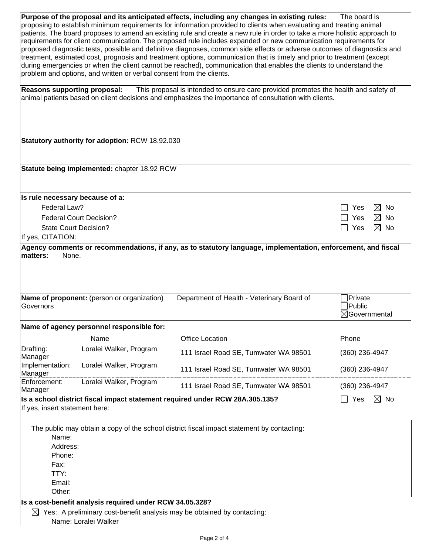**Purpose of the proposal and its anticipated effects, including any changes in existing rules:** The board is proposing to establish minimum requirements for information provided to clients when evaluating and treating animal patients. The board proposes to amend an existing rule and create a new rule in order to take a more holistic approach to requirements for client communication. The proposed rule includes expanded or new communication requirements for proposed diagnostic tests, possible and definitive diagnoses, common side effects or adverse outcomes of diagnostics and treatment, estimated cost, prognosis and treatment options, communication that is timely and prior to treatment (except during emergencies or when the client cannot be reached), communication that enables the clients to understand the problem and options, and written or verbal consent from the clients.

**Reasons supporting proposal:** This proposal is intended to ensure care provided promotes the health and safety of animal patients based on client decisions and emphasizes the importance of consultation with clients.

|                                 | Statutory authority for adoption: RCW 18.92.030          |                                                                                                               |                                    |
|---------------------------------|----------------------------------------------------------|---------------------------------------------------------------------------------------------------------------|------------------------------------|
|                                 |                                                          |                                                                                                               |                                    |
|                                 | Statute being implemented: chapter 18.92 RCW             |                                                                                                               |                                    |
|                                 |                                                          |                                                                                                               |                                    |
| Is rule necessary because of a: |                                                          |                                                                                                               |                                    |
| Federal Law?                    |                                                          |                                                                                                               | $\boxtimes$ No<br>Yes              |
|                                 | <b>Federal Court Decision?</b>                           |                                                                                                               | Yes<br>$\boxtimes$ No              |
|                                 | <b>State Court Decision?</b>                             |                                                                                                               | $\boxtimes$ No<br>Yes              |
| If yes, CITATION:               |                                                          |                                                                                                               |                                    |
| matters:<br>None.               |                                                          | Agency comments or recommendations, if any, as to statutory language, implementation, enforcement, and fiscal |                                    |
|                                 |                                                          |                                                                                                               |                                    |
|                                 |                                                          |                                                                                                               |                                    |
|                                 |                                                          |                                                                                                               |                                    |
|                                 |                                                          |                                                                                                               |                                    |
|                                 | Name of proponent: (person or organization)              | Department of Health - Veterinary Board of                                                                    | Private                            |
| Governors                       |                                                          |                                                                                                               | Public<br>$\boxtimes$ Governmental |
|                                 |                                                          |                                                                                                               |                                    |
|                                 | Name of agency personnel responsible for:                |                                                                                                               |                                    |
|                                 | Name                                                     | <b>Office Location</b>                                                                                        | Phone                              |
| Drafting:                       | Loralei Walker, Program                                  | 111 Israel Road SE, Tumwater WA 98501                                                                         | (360) 236-4947                     |
| Manager<br>Implementation:      | Loralei Walker, Program                                  |                                                                                                               |                                    |
| Manager                         |                                                          | 111 Israel Road SE, Tumwater WA 98501                                                                         | (360) 236-4947                     |
| Enforcement:<br>Manager         | Loralei Walker, Program                                  | 111 Israel Road SE, Tumwater WA 98501                                                                         | $(360)$ 236-4947                   |
|                                 |                                                          | Is a school district fiscal impact statement required under RCW 28A.305.135?                                  | Yes<br>$\boxtimes$ No              |
| If yes, insert statement here:  |                                                          |                                                                                                               |                                    |
|                                 |                                                          |                                                                                                               |                                    |
|                                 |                                                          | The public may obtain a copy of the school district fiscal impact statement by contacting:                    |                                    |
| Name:                           |                                                          |                                                                                                               |                                    |
| Address:                        |                                                          |                                                                                                               |                                    |
| Phone:                          |                                                          |                                                                                                               |                                    |
| Fax:                            |                                                          |                                                                                                               |                                    |
| TTY:                            |                                                          |                                                                                                               |                                    |
| Email:                          |                                                          |                                                                                                               |                                    |
| Other:                          |                                                          |                                                                                                               |                                    |
|                                 | Is a cost-benefit analysis required under RCW 34.05.328? |                                                                                                               |                                    |
|                                 |                                                          | $\boxtimes$ Yes: A preliminary cost-benefit analysis may be obtained by contacting:                           |                                    |
|                                 | Name: Loralei Walker                                     |                                                                                                               |                                    |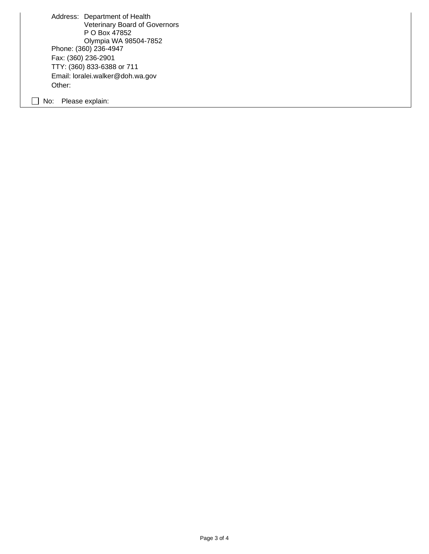Address: Department of Health Veterinary Board of Governors P O Box 47852 Olympia WA 98504-7852 Phone: (360) 236-4947 Fax: (360) 236-2901 TTY: (360) 833-6388 or 711 Email: loralei.walker@doh.wa.gov Other:

No: Please explain: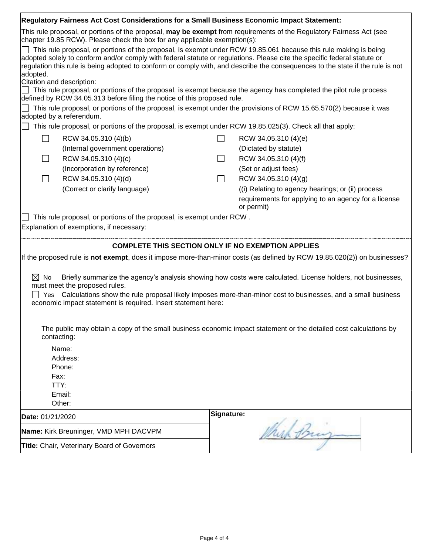|                                                                                                                                                                                                   | Regulatory Fairness Act Cost Considerations for a Small Business Economic Impact Statement:                              |              |                                                                                                                                                                                                                                                    |  |  |
|---------------------------------------------------------------------------------------------------------------------------------------------------------------------------------------------------|--------------------------------------------------------------------------------------------------------------------------|--------------|----------------------------------------------------------------------------------------------------------------------------------------------------------------------------------------------------------------------------------------------------|--|--|
| This rule proposal, or portions of the proposal, may be exempt from requirements of the Regulatory Fairness Act (see<br>chapter 19.85 RCW). Please check the box for any applicable exemption(s): |                                                                                                                          |              |                                                                                                                                                                                                                                                    |  |  |
| adopted.                                                                                                                                                                                          | adopted solely to conform and/or comply with federal statute or regulations. Please cite the specific federal statute or |              | This rule proposal, or portions of the proposal, is exempt under RCW 19.85.061 because this rule making is being<br>regulation this rule is being adopted to conform or comply with, and describe the consequences to the state if the rule is not |  |  |
|                                                                                                                                                                                                   | Citation and description:                                                                                                |              |                                                                                                                                                                                                                                                    |  |  |
|                                                                                                                                                                                                   | defined by RCW 34.05.313 before filing the notice of this proposed rule.                                                 |              | This rule proposal, or portions of the proposal, is exempt because the agency has completed the pilot rule process                                                                                                                                 |  |  |
|                                                                                                                                                                                                   |                                                                                                                          |              | This rule proposal, or portions of the proposal, is exempt under the provisions of RCW 15.65.570(2) because it was                                                                                                                                 |  |  |
|                                                                                                                                                                                                   | adopted by a referendum.                                                                                                 |              |                                                                                                                                                                                                                                                    |  |  |
|                                                                                                                                                                                                   | This rule proposal, or portions of the proposal, is exempt under RCW 19.85.025(3). Check all that apply:                 |              |                                                                                                                                                                                                                                                    |  |  |
| $\Box$                                                                                                                                                                                            | RCW 34.05.310 (4)(b)                                                                                                     | $\Box$       | RCW 34.05.310 (4)(e)                                                                                                                                                                                                                               |  |  |
|                                                                                                                                                                                                   | (Internal government operations)                                                                                         |              | (Dictated by statute)                                                                                                                                                                                                                              |  |  |
|                                                                                                                                                                                                   | RCW 34.05.310 (4)(c)                                                                                                     |              | RCW 34.05.310 (4)(f)                                                                                                                                                                                                                               |  |  |
|                                                                                                                                                                                                   | (Incorporation by reference)                                                                                             |              | (Set or adjust fees)                                                                                                                                                                                                                               |  |  |
|                                                                                                                                                                                                   | RCW 34.05.310 (4)(d)                                                                                                     | $\mathsf{L}$ | RCW 34.05.310 (4)(g)                                                                                                                                                                                                                               |  |  |
|                                                                                                                                                                                                   | (Correct or clarify language)                                                                                            |              | ((i) Relating to agency hearings; or (ii) process                                                                                                                                                                                                  |  |  |
|                                                                                                                                                                                                   |                                                                                                                          |              | requirements for applying to an agency for a license<br>or permit)                                                                                                                                                                                 |  |  |
|                                                                                                                                                                                                   | This rule proposal, or portions of the proposal, is exempt under RCW.                                                    |              |                                                                                                                                                                                                                                                    |  |  |
|                                                                                                                                                                                                   | Explanation of exemptions, if necessary:                                                                                 |              |                                                                                                                                                                                                                                                    |  |  |
|                                                                                                                                                                                                   |                                                                                                                          |              |                                                                                                                                                                                                                                                    |  |  |
|                                                                                                                                                                                                   | <b>COMPLETE THIS SECTION ONLY IF NO EXEMPTION APPLIES</b>                                                                |              |                                                                                                                                                                                                                                                    |  |  |
|                                                                                                                                                                                                   |                                                                                                                          |              | If the proposed rule is not exempt, does it impose more-than-minor costs (as defined by RCW 19.85.020(2)) on businesses?                                                                                                                           |  |  |
| $\boxtimes$ No                                                                                                                                                                                    |                                                                                                                          |              | Briefly summarize the agency's analysis showing how costs were calculated. License holders, not businesses,                                                                                                                                        |  |  |
|                                                                                                                                                                                                   | must meet the proposed rules.                                                                                            |              |                                                                                                                                                                                                                                                    |  |  |
| Calculations show the rule proposal likely imposes more-than-minor cost to businesses, and a small business<br>Yes<br>economic impact statement is required. Insert statement here:               |                                                                                                                          |              |                                                                                                                                                                                                                                                    |  |  |
|                                                                                                                                                                                                   |                                                                                                                          |              |                                                                                                                                                                                                                                                    |  |  |
|                                                                                                                                                                                                   | contacting:                                                                                                              |              | The public may obtain a copy of the small business economic impact statement or the detailed cost calculations by                                                                                                                                  |  |  |
|                                                                                                                                                                                                   |                                                                                                                          |              |                                                                                                                                                                                                                                                    |  |  |
|                                                                                                                                                                                                   | Name:<br>Address:                                                                                                        |              |                                                                                                                                                                                                                                                    |  |  |
|                                                                                                                                                                                                   | Phone:                                                                                                                   |              |                                                                                                                                                                                                                                                    |  |  |
|                                                                                                                                                                                                   | Fax:                                                                                                                     |              |                                                                                                                                                                                                                                                    |  |  |
|                                                                                                                                                                                                   | TTY:                                                                                                                     |              |                                                                                                                                                                                                                                                    |  |  |
|                                                                                                                                                                                                   | Email:                                                                                                                   |              |                                                                                                                                                                                                                                                    |  |  |
|                                                                                                                                                                                                   |                                                                                                                          |              |                                                                                                                                                                                                                                                    |  |  |
|                                                                                                                                                                                                   | Other:                                                                                                                   |              |                                                                                                                                                                                                                                                    |  |  |
| Date: 01/21/2020                                                                                                                                                                                  |                                                                                                                          | Signature:   |                                                                                                                                                                                                                                                    |  |  |
|                                                                                                                                                                                                   | Name: Kirk Breuninger, VMD MPH DACVPM                                                                                    |              | hich Bring                                                                                                                                                                                                                                         |  |  |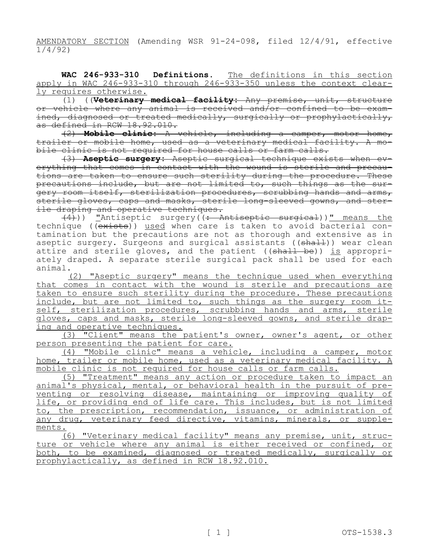AMENDATORY SECTION (Amending WSR 91-24-098, filed 12/4/91, effective 1/4/92)

**WAC 246-933-310 Definitions.** The definitions in this section apply in WAC 246-933-310 through 246-933-350 unless the context clearly requires otherwise.

(1) ((**Veterinary medical facility:** Any premise, unit, structure or vehicle where any animal is received and/or confined to be examined, diagnosed or treated medically, surgically or prophylactically, as defined in RCW 18.92.010.

(2) **Mobile clinic:** A vehicle, including a camper, motor home, trailer or mobile home, used as a veterinary medical facility. A mobile clinic is not required for house calls or farm calls.

(3) **Aseptic surgery:** Aseptic surgical technique exists when everything that comes in contact with the wound is sterile and precautions are taken to ensure such sterility during the procedure. These precautions include, but are not limited to, such things as the surgery room itself, sterilization procedures, scrubbing hands and arms, sterile gloves, caps and masks, sterile long-sleeved gowns, and sterile draping and operative techniques.

 $\overline{(4)}$ )) "Antiseptic surgery( $\overline{(:$  Antiseptic surgical))" means the technique ((exists)) used when care is taken to avoid bacterial contamination but the precautions are not as thorough and extensive as in aseptic surgery. Surgeons and surgical assistants ((shall)) wear clean attire and sterile gloves, and the patient (( $\frac{1}{\text{shall}}$  be)) is appropriately draped. A separate sterile surgical pack shall be used for each animal.

(2) "Aseptic surgery" means the technique used when everything that comes in contact with the wound is sterile and precautions are taken to ensure such sterility during the procedure. These precautions include, but are not limited to, such things as the surgery room itself, sterilization procedures, scrubbing hands and arms, sterile gloves, caps and masks, sterile long-sleeved gowns, and sterile draping and operative techniques.

(3) "Client" means the patient's owner, owner's agent, or other person presenting the patient for care.

(4) "Mobile clinic" means a vehicle, including a camper, motor home, trailer or mobile home, used as a veterinary medical facility. A mobile clinic is not required for house calls or farm calls.

(5) "Treatment" means any action or procedure taken to impact an animal's physical, mental, or behavioral health in the pursuit of preventing or resolving disease, maintaining or improving quality of life, or providing end of life care. This includes, but is not limited to, the prescription, recommendation, issuance, or administration of any drug, veterinary feed directive, vitamins, minerals, or supplements.

(6) "Veterinary medical facility" means any premise, unit, structure or vehicle where any animal is either received or confined, or both, to be examined, diagnosed or treated medically, surgically or prophylactically, as defined in RCW 18.92.010.